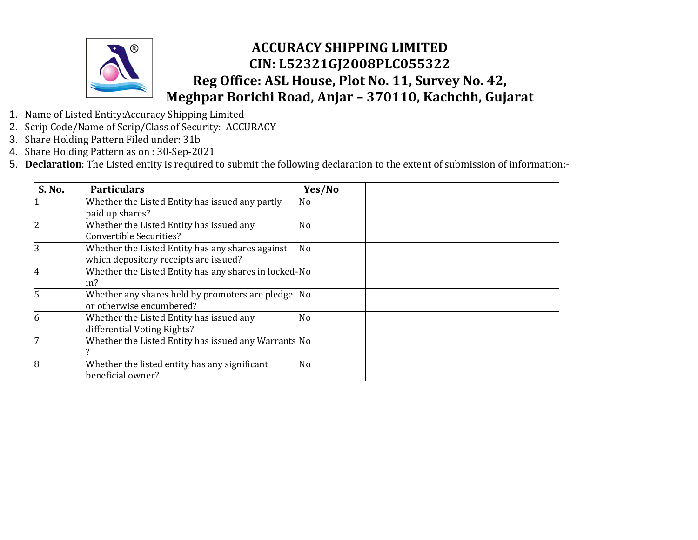

- 1. Name of Listed Entity:Accuracy Shipping Limited
- 2. Scrip Code/Name of Scrip/Class of Security: ACCURACY
- 3. Share Holding Pattern Filed under: 31b
- 4. Share Holding Pattern as on : 30-Sep-2021
- 5. **Declaration**: The Listed entity is required to submit the following declaration to the extent of submission of information:-

| S. No. | <b>Particulars</b>                                    | Yes/No |  |
|--------|-------------------------------------------------------|--------|--|
|        | Whether the Listed Entity has issued any partly       | No     |  |
|        | paid up shares?                                       |        |  |
|        | Whether the Listed Entity has issued any              | No     |  |
|        | Convertible Securities?                               |        |  |
| 3      | Whether the Listed Entity has any shares against      | No     |  |
|        | which depository receipts are issued?                 |        |  |
| 4      | Whether the Listed Entity has any shares in locked-No |        |  |
|        | in?                                                   |        |  |
|        | Whether any shares held by promoters are pledge       | No.    |  |
|        | or otherwise encumbered?                              |        |  |
| 6      | Whether the Listed Entity has issued any              | No     |  |
|        | differential Voting Rights?                           |        |  |
|        | Whether the Listed Entity has issued any Warrants No  |        |  |
|        |                                                       |        |  |
| 8      | Whether the listed entity has any significant         | No     |  |
|        | beneficial owner?                                     |        |  |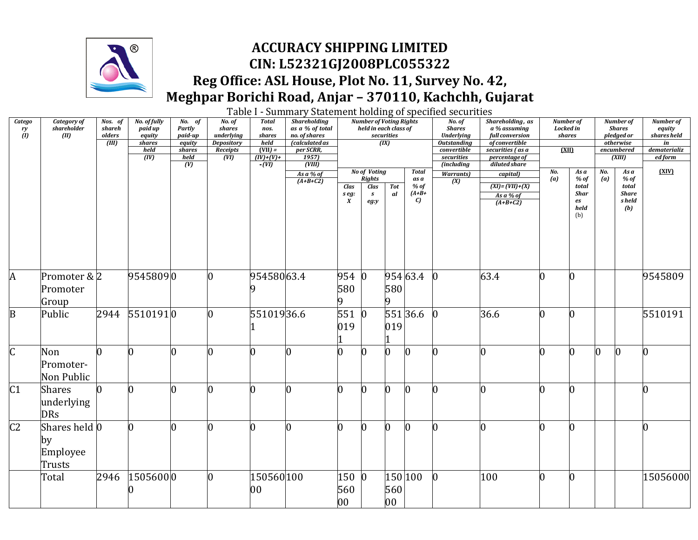

### **ACCURACY SHIPPING LIMITED CIN: L52321GJ2008PLC055322 Reg Office: ASL House, Plot No. 11, Survey No. 42, Meghpar Borichi Road, Anjar – 370110, Kachchh, Gujarat**

Table I - Summary Statement holding of specified securities

| <b>Catego</b>           | Category of   | Nos. of                      | No. of fully     | $No.$ of          | No. of                          | <b>Total</b>   | <b>Shareholding</b>             |                           | <b>Number of Voting Rights</b> |                      |                   | No. of                                  | Shareholding, as                         | <b>Number of</b> |            |     | <b>Number of</b>        | Number of             |
|-------------------------|---------------|------------------------------|------------------|-------------------|---------------------------------|----------------|---------------------------------|---------------------------|--------------------------------|----------------------|-------------------|-----------------------------------------|------------------------------------------|------------------|------------|-----|-------------------------|-----------------------|
| $\frac{ry}{(l)}$        | shareholder   | shareh                       | paid up          | <b>Partly</b>     | shares                          | nos.           | as a % of total                 |                           | held in each class of          |                      |                   | <b>Shares</b>                           | a % assuming                             | Locked in        |            |     | <b>Shares</b>           | equity<br>shares held |
|                         | (II)          | olders<br>$\overline{(III)}$ | equity<br>shares | paid-up<br>equity | underlying<br><b>Depository</b> | shares<br>held | no. of shares<br>(calculated as |                           |                                | securities<br>(IX)   |                   | <b>Underlying</b><br><b>Outstanding</b> | full conversion<br><i>of convertible</i> | shares           |            |     | pledged or<br>otherwise | in                    |
|                         |               |                              | held             | shares            | Receipts                        | $(VII) =$      | per SCRR,                       |                           |                                |                      |                   | convertible                             | securities (as a                         | (XII)            |            |     | encumbered              | dematerializ          |
|                         |               |                              | (IV)             | held              | (VI)                            | $(IV)+(V)+$    | 1957)                           |                           |                                |                      |                   | securities                              | percentage of                            |                  |            |     | (XIII)                  | ed form               |
|                         |               |                              |                  | $\overline{(V)}$  |                                 | $-UU$          | (VIII)                          |                           |                                |                      |                   | (including                              | diluted share                            |                  |            |     |                         |                       |
|                         |               |                              |                  |                   |                                 |                | As a % of                       |                           | <b>No of Voting</b>            |                      | <b>Total</b>      | <b>Warrants</b> )                       | capital)                                 | No.              | As a       | No. | As a                    | (XIV)                 |
|                         |               |                              |                  |                   |                                 |                | $(A+B+C2)$                      |                           | <b>Rights</b>                  |                      | as a              | $\overline{(X)}$                        |                                          | (a)              | % of       | (a) | % of                    |                       |
|                         |               |                              |                  |                   |                                 |                |                                 | Clas                      | Clas                           | $\operatorname{Tot}$ | $%$ of<br>$(A+B+$ |                                         | $(XI) = (VII) + (X)$                     |                  | total      |     | total<br><b>Share</b>   |                       |
|                         |               |                              |                  |                   |                                 |                |                                 | s eg:<br>$\boldsymbol{X}$ | $\boldsymbol{s}$               | al                   | $\mathcal{C}$     |                                         | As a % of                                |                  | Shar<br>es |     | s held                  |                       |
|                         |               |                              |                  |                   |                                 |                |                                 |                           | eg:y                           |                      |                   |                                         | $(A+B+C2)$                               |                  | held       |     | (b)                     |                       |
|                         |               |                              |                  |                   |                                 |                |                                 |                           |                                |                      |                   |                                         |                                          |                  | (b)        |     |                         |                       |
|                         |               |                              |                  |                   |                                 |                |                                 |                           |                                |                      |                   |                                         |                                          |                  |            |     |                         |                       |
|                         |               |                              |                  |                   |                                 |                |                                 |                           |                                |                      |                   |                                         |                                          |                  |            |     |                         |                       |
|                         |               |                              |                  |                   |                                 |                |                                 |                           |                                |                      |                   |                                         |                                          |                  |            |     |                         |                       |
|                         |               |                              |                  |                   |                                 |                |                                 |                           |                                |                      |                   |                                         |                                          |                  |            |     |                         |                       |
|                         |               |                              |                  |                   |                                 |                |                                 |                           |                                |                      |                   |                                         |                                          |                  |            |     |                         |                       |
|                         |               |                              |                  |                   |                                 |                |                                 |                           |                                |                      |                   |                                         |                                          |                  |            |     |                         |                       |
| A                       | Promoter & 2  |                              | 95458090         |                   | O.                              | 95458063.4     |                                 | 954                       | $\bf{0}$                       |                      | 954 63.4          | IO.                                     | 63.4                                     | n                | 0          |     |                         | 9545809               |
|                         |               |                              |                  |                   |                                 |                |                                 |                           |                                |                      |                   |                                         |                                          |                  |            |     |                         |                       |
|                         | Promoter      |                              |                  |                   |                                 |                |                                 | 580                       |                                | 580                  |                   |                                         |                                          |                  |            |     |                         |                       |
|                         | Group         |                              |                  |                   |                                 |                |                                 |                           |                                |                      |                   |                                         |                                          |                  |            |     |                         |                       |
| $\mathbf{B}$            | Public        | 2944                         | 55101910         |                   | O.                              | 55101936.6     |                                 | 551                       | $\mathbf{0}$                   |                      | 551 36.6          | IO.                                     | 36.6                                     | n                | 0          |     |                         | 5510191               |
|                         |               |                              |                  |                   |                                 |                |                                 |                           |                                |                      |                   |                                         |                                          |                  |            |     |                         |                       |
|                         |               |                              |                  |                   |                                 |                |                                 | 019                       |                                | 019                  |                   |                                         |                                          |                  |            |     |                         |                       |
|                         |               |                              |                  |                   |                                 |                |                                 |                           |                                |                      |                   |                                         |                                          |                  |            |     |                         |                       |
|                         |               |                              |                  |                   |                                 |                |                                 |                           |                                |                      |                   |                                         |                                          |                  |            |     |                         |                       |
| $\overline{\mathsf{C}}$ | Non           |                              |                  |                   |                                 |                | n                               | h                         | n                              | 0                    | O.                | n                                       | O                                        |                  | ሰ          |     | n                       | n                     |
|                         | Promoter-     |                              |                  |                   |                                 |                |                                 |                           |                                |                      |                   |                                         |                                          |                  |            |     |                         |                       |
|                         |               |                              |                  |                   |                                 |                |                                 |                           |                                |                      |                   |                                         |                                          |                  |            |     |                         |                       |
|                         | Non Public    |                              |                  |                   |                                 |                |                                 |                           |                                |                      |                   |                                         |                                          |                  |            |     |                         |                       |
| $\overline{C1}$         | <b>Shares</b> |                              |                  |                   |                                 | 0              | Ю                               | 0                         | n                              | 0                    | $\bf{0}$          |                                         |                                          |                  | 0          |     |                         |                       |
|                         | underlying    |                              |                  |                   |                                 |                |                                 |                           |                                |                      |                   |                                         |                                          |                  |            |     |                         |                       |
|                         |               |                              |                  |                   |                                 |                |                                 |                           |                                |                      |                   |                                         |                                          |                  |            |     |                         |                       |
|                         | <b>DRs</b>    |                              |                  |                   |                                 |                |                                 |                           |                                |                      |                   |                                         |                                          |                  |            |     |                         |                       |
| C <sub>2</sub>          | Shares held 0 |                              |                  |                   |                                 |                |                                 |                           | n                              |                      |                   |                                         |                                          |                  |            |     |                         |                       |
|                         |               |                              |                  |                   |                                 |                |                                 |                           |                                |                      |                   |                                         |                                          |                  |            |     |                         |                       |
|                         | by            |                              |                  |                   |                                 |                |                                 |                           |                                |                      |                   |                                         |                                          |                  |            |     |                         |                       |
|                         | Employee      |                              |                  |                   |                                 |                |                                 |                           |                                |                      |                   |                                         |                                          |                  |            |     |                         |                       |
|                         |               |                              |                  |                   |                                 |                |                                 |                           |                                |                      |                   |                                         |                                          |                  |            |     |                         |                       |
|                         | Trusts        |                              |                  |                   |                                 |                |                                 |                           |                                |                      |                   |                                         |                                          |                  |            |     |                         |                       |
|                         | Total         | 2946                         | 15056000         |                   | O.                              | 150560 100     |                                 | 150                       | $\bf{0}$                       |                      | 150 100           | 0                                       | 100                                      | n                | N          |     |                         | 15056000              |
|                         |               |                              |                  |                   |                                 | 00             |                                 | 560                       |                                | 560                  |                   |                                         |                                          |                  |            |     |                         |                       |
|                         |               |                              |                  |                   |                                 |                |                                 |                           |                                |                      |                   |                                         |                                          |                  |            |     |                         |                       |
|                         |               |                              |                  |                   |                                 |                |                                 | 00                        |                                | 00                   |                   |                                         |                                          |                  |            |     |                         |                       |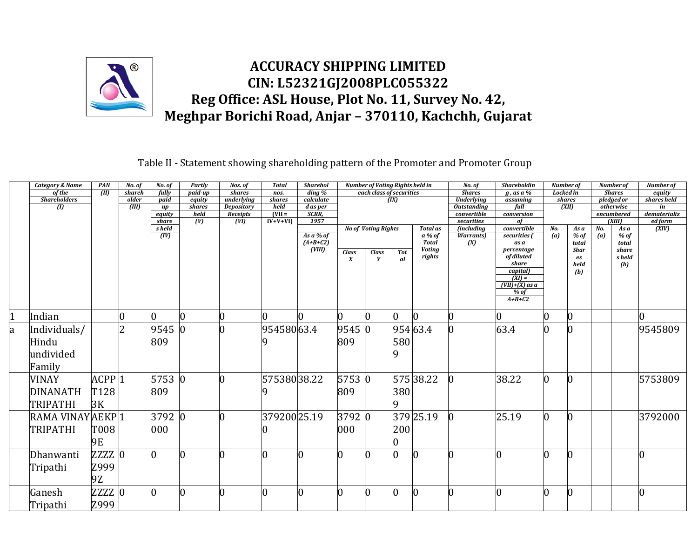

Table II - Statement showing shareholding pattern of the Promoter and Promoter Group

|                | <b>Category &amp; Name</b> | PAN                 | No. of | No. of       | Partly         | Nos. of                       | <b>Total</b>     | <b>Sharehol</b>      |                                  | <b>Number of Voting Rights held in</b> |                   |                               | No. of                            | <b>Shareholdin</b>           | Number of        |                      |                | <b>Number</b> of        | <b>Number</b> of   |
|----------------|----------------------------|---------------------|--------|--------------|----------------|-------------------------------|------------------|----------------------|----------------------------------|----------------------------------------|-------------------|-------------------------------|-----------------------------------|------------------------------|------------------|----------------------|----------------|-------------------------|--------------------|
|                | of the                     | (III)               | shareh | fully        | $p$ aid-up     | shares                        | nos.             | $\frac{d}{d}$        |                                  | each class of securities               |                   |                               | <b>Shares</b>                     | $g$ , as a %                 | <b>Locked</b> in |                      |                | <b>Shares</b>           | equity             |
|                | <b>Shareholders</b>        |                     | older  | $p$ aid      | equity         | underlying                    | shares           | calculate            |                                  |                                        | $\overline{(IX)}$ |                               | <b>Underlying</b>                 | assuming                     |                  | shares               |                | pledged or              | shares held        |
|                | $\mathbf{U}$               |                     | (III)  | up<br>equity | shares<br>held | <b>Depository</b><br>Receipts | held<br>$(VII =$ | d as per<br>SCRR,    |                                  |                                        |                   |                               | <b>Outstanding</b><br>convertible | full<br>conversion           |                  | (XII)                |                | otherwise<br>encumbered | in<br>dematerializ |
|                |                            |                     |        | share        | (V)            | $\overline{(VI)}$             | $IV+V+VI$        | 1957                 |                                  |                                        |                   |                               | securities                        | of                           |                  |                      |                | $\overline{K}$ iin      | ed form            |
|                |                            |                     |        | s held       |                |                               |                  |                      |                                  | <b>No of Voting Rights</b>             |                   | <b>Total as</b>               | <i>(including</i>                 | convertible                  | No.              | As a                 | N <sub>0</sub> | As a                    | (XIV)              |
|                |                            |                     |        | (IV)         |                |                               |                  | As $a\%$ of          |                                  |                                        |                   | a % of                        | <b>Warrants</b> )                 | securities                   | (a)              | $%$ of               | (a)            | $%$ of                  |                    |
|                |                            |                     |        |              |                |                               |                  | $(A+B+C2)$<br>(VIII) |                                  |                                        |                   | <b>Total</b><br><b>Voting</b> | $\overline{(X)}$                  | as a<br>percentage           |                  | total<br><b>Shar</b> |                | total<br>share          |                    |
|                |                            |                     |        |              |                |                               |                  |                      | <b>Class</b><br>$\boldsymbol{X}$ | <b>Class</b><br>Y                      | <b>Tot</b><br>al  | rights                        |                                   | of diluted                   |                  | es                   |                | s held                  |                    |
|                |                            |                     |        |              |                |                               |                  |                      |                                  |                                        |                   |                               |                                   | share                        |                  | held                 |                | (b)                     |                    |
|                |                            |                     |        |              |                |                               |                  |                      |                                  |                                        |                   |                               |                                   | capital)                     |                  | (b)                  |                |                         |                    |
|                |                            |                     |        |              |                |                               |                  |                      |                                  |                                        |                   |                               |                                   | $(XI) =$<br>$(VII)+(X)$ as a |                  |                      |                |                         |                    |
|                |                            |                     |        |              |                |                               |                  |                      |                                  |                                        |                   |                               |                                   | % of                         |                  |                      |                |                         |                    |
|                |                            |                     |        |              |                |                               |                  |                      |                                  |                                        |                   |                               |                                   | $A+B+C2$                     |                  |                      |                |                         |                    |
|                |                            |                     |        |              |                |                               |                  |                      |                                  |                                        |                   |                               |                                   |                              |                  |                      |                |                         |                    |
| $\overline{1}$ | Indian                     |                     |        | O.           | $\overline{0}$ |                               | O.               | O.                   |                                  |                                        | $\Omega$          | n                             |                                   | n                            | 0                | O                    |                |                         | IO.                |
| a              | Individuals/               |                     | 2      | 9545 0       |                |                               | 95458063.4       |                      | 9545 0                           |                                        |                   | 954 63.4                      |                                   | 63.4                         |                  | 0                    |                |                         | 9545809            |
|                | Hindu                      |                     |        | 809          |                |                               |                  |                      | 809                              |                                        | 580               |                               |                                   |                              |                  |                      |                |                         |                    |
|                | undivided                  |                     |        |              |                |                               |                  |                      |                                  |                                        |                   |                               |                                   |                              |                  |                      |                |                         |                    |
|                |                            |                     |        |              |                |                               |                  |                      |                                  |                                        |                   |                               |                                   |                              |                  |                      |                |                         |                    |
|                | Family                     |                     |        |              |                |                               |                  |                      |                                  |                                        |                   |                               |                                   |                              |                  |                      |                |                         |                    |
|                | <b>VINAY</b>               | $ACPP$ <sup>1</sup> |        | 5753 0       |                |                               | 57538038.22      |                      | 5753 0                           |                                        |                   | 57538.22                      |                                   | 38.22                        |                  |                      |                |                         | 5753809            |
|                | <b>DINANATH</b>            | T128                |        | 809          |                |                               |                  |                      | 809                              |                                        | 380               |                               |                                   |                              |                  |                      |                |                         |                    |
|                |                            |                     |        |              |                |                               |                  |                      |                                  |                                        |                   |                               |                                   |                              |                  |                      |                |                         |                    |
|                | TRIPATHI                   | 3K                  |        |              |                |                               |                  |                      |                                  |                                        | 9                 |                               |                                   |                              |                  |                      |                |                         |                    |
|                | RAMA VINAYAEKP1            |                     |        | 3792 0       |                |                               | 37920025.19      |                      | 3792 0                           |                                        |                   | 379 25.19                     |                                   | 25.19                        |                  |                      |                |                         | 3792000            |
|                | <b>TRIPATHI</b>            | T008                |        | 000          |                |                               |                  |                      | 000                              |                                        | 200               |                               |                                   |                              |                  |                      |                |                         |                    |
|                |                            |                     |        |              |                |                               |                  |                      |                                  |                                        |                   |                               |                                   |                              |                  |                      |                |                         |                    |
|                |                            | 9E                  |        |              |                |                               |                  |                      |                                  |                                        |                   |                               |                                   |                              |                  |                      |                |                         |                    |
|                | Dhanwanti                  | <b>ZZZZ</b>         |        |              |                |                               | l0               | 0                    |                                  |                                        | 0                 |                               |                                   |                              | O.               | 0                    |                |                         | 0                  |
|                | Tripathi                   | Z999                |        |              |                |                               |                  |                      |                                  |                                        |                   |                               |                                   |                              |                  |                      |                |                         |                    |
|                |                            |                     |        |              |                |                               |                  |                      |                                  |                                        |                   |                               |                                   |                              |                  |                      |                |                         |                    |
|                |                            | 9Z                  |        |              |                |                               |                  |                      |                                  |                                        |                   |                               |                                   |                              |                  |                      |                |                         |                    |
|                | Ganesh                     | ZZZZ C              |        |              |                |                               | l0               | 0                    |                                  |                                        | O                 |                               |                                   |                              |                  |                      |                |                         | $\overline{0}$     |
|                | Tripathi                   | Z999                |        |              |                |                               |                  |                      |                                  |                                        |                   |                               |                                   |                              |                  |                      |                |                         |                    |
|                |                            |                     |        |              |                |                               |                  |                      |                                  |                                        |                   |                               |                                   |                              |                  |                      |                |                         |                    |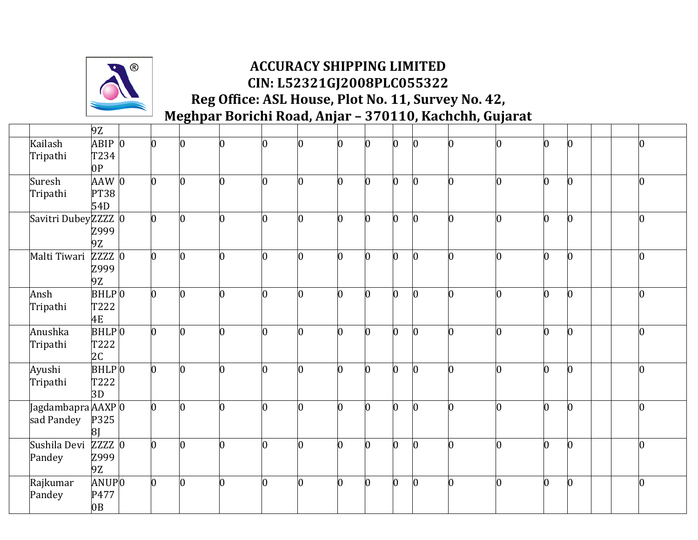

|                     |                     | 9Z                     |                |                |                |                |   |    |              |                |              |   |                |                 |  |                |
|---------------------|---------------------|------------------------|----------------|----------------|----------------|----------------|---|----|--------------|----------------|--------------|---|----------------|-----------------|--|----------------|
| Kailash<br>Tripathi |                     | ABIP<br>T234           | $\overline{0}$ | $\overline{0}$ | n.             | $\overline{0}$ |   | n  |              | h              | n            |   | $\Omega$       | $\vert 0 \vert$ |  |                |
|                     |                     | 0 <sub>P</sub>         |                |                |                |                |   |    |              |                |              |   |                |                 |  |                |
| Suresh              |                     | AAW 0                  | $\overline{0}$ | 10             | 0              | $\bf{0}$       | n | 0  | $\bf{0}$     | $\overline{0}$ | $\bf{0}$     | በ | $\overline{0}$ | $\bf{0}$        |  | $\overline{0}$ |
| Tripathi            |                     | <b>PT38</b><br>54D     |                |                |                |                |   |    |              |                |              |   |                |                 |  |                |
|                     | Savitri DubeyZZZZ 0 |                        | $\overline{0}$ | $\overline{0}$ | <sup>0</sup>   | $\overline{0}$ | n | O. | O            | $\overline{0}$ | $\bf{0}$     | U | $\overline{0}$ | $\vert 0 \vert$ |  | N              |
|                     |                     | Z999<br>9Z             |                |                |                |                |   |    |              |                |              |   |                |                 |  |                |
|                     | Malti Tiwari        | ZZZZ 0                 | $\overline{0}$ | $\overline{0}$ | $\overline{0}$ | $\overline{0}$ | n | 0  | 0            | $\overline{0}$ | $\bf{0}$     |   | $\overline{0}$ | $\overline{0}$  |  | $\overline{0}$ |
|                     |                     | Z999<br>9Z             |                |                |                |                |   |    |              |                |              |   |                |                 |  |                |
| Ansh                |                     | BHLPO                  | $\overline{0}$ | 0              | O              | $\bf{0}$       |   | 0  | N            | 0              | <sup>0</sup> | n | $\overline{0}$ | $\bf{0}$        |  | 0              |
| Tripathi            |                     | T222<br>4E             |                |                |                |                |   |    |              |                |              |   |                |                 |  |                |
| Anushka             |                     | BHLPO                  | $\overline{0}$ | $\bf{0}$       | 0              | $\bf{0}$       | U | O  | O            | $\overline{0}$ | 0            | በ | $\overline{0}$ | $\mathbf{0}$    |  | 0              |
| Tripathi            |                     | T222<br>2 <sub>C</sub> |                |                |                |                |   |    |              |                |              |   |                |                 |  |                |
| Ayushi              |                     | $BHLP$ <sub>0</sub>    | $\overline{0}$ | $\overline{0}$ | <sup>0</sup>   | $\bf{0}$       | n | 0  | n            | $\overline{0}$ | $\bf{0}$     | U | $\overline{0}$ | $\overline{0}$  |  | O              |
| Tripathi            |                     | T222<br>3D             |                |                |                |                |   |    |              |                |              |   |                |                 |  |                |
|                     | Jagdambapra AAXP 0  |                        | $\overline{0}$ | Ю              | 0              | $\bf{0}$       | n | O  | 0            | $\overline{0}$ | $\bf{0}$     | U | $\overline{0}$ | $\bf{0}$        |  | $\overline{0}$ |
|                     | sad Pandey          | P325<br>8 <sub>l</sub> |                |                |                |                |   |    |              |                |              |   |                |                 |  |                |
|                     | Sushila Devi        | $ZZZZ$ 0               | 0              | 0              | n              | $\Omega$       |   | ∩  |              | n              |              |   | 0              | $\bf{0}$        |  |                |
| Pandey              |                     | Z999<br>9Z             |                |                |                |                |   |    |              |                |              |   |                |                 |  |                |
|                     | Rajkumar            | ANUPO                  | $\overline{0}$ | Ю              | O.             | $\bf{0}$       | n | O  | <sup>0</sup> | $\overline{0}$ | 0            | n | $\overline{0}$ | $\bf{0}$        |  | $\overline{0}$ |
| Pandey              |                     | P477<br>0B             |                |                |                |                |   |    |              |                |              |   |                |                 |  |                |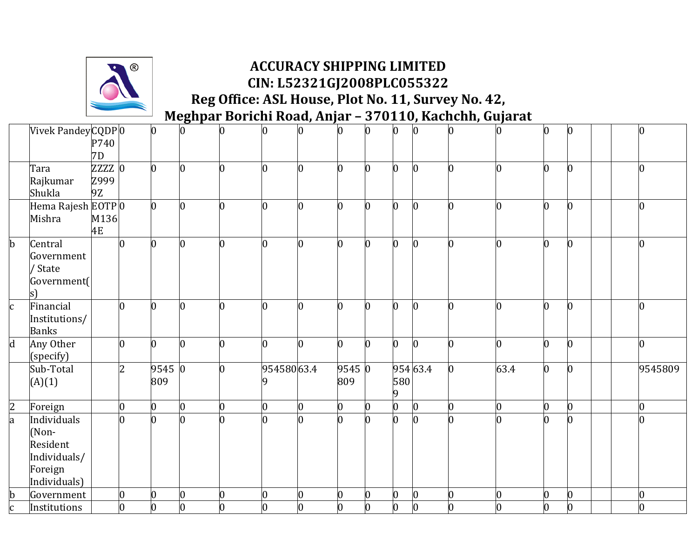

|                | Vivek PandeyCQDP0      |          |                | $\overline{0}$ | $\overline{0}$ | 0              | O.             | $\overline{0}$ | $\overline{0}$ | n              | $\mathbf{0}$            |          | l0             | $\overline{0}$ | 0              | $\overline{0}$ | l0       |  |
|----------------|------------------------|----------|----------------|----------------|----------------|----------------|----------------|----------------|----------------|----------------|-------------------------|----------|----------------|----------------|----------------|----------------|----------|--|
|                |                        | P740     |                |                |                |                |                |                |                |                |                         |          |                |                |                |                |          |  |
|                |                        | 7D       |                |                |                |                |                |                |                |                |                         |          |                |                |                |                |          |  |
|                | Tara                   | $ZZZZ$ 0 |                | $\overline{0}$ |                | $\overline{0}$ | $\bf{0}$       | $\overline{0}$ | $\overline{0}$ | U              | 0                       |          | $\bf{0}$       | $\overline{0}$ | O.             | $\overline{0}$ | n        |  |
|                | Rajkumar               | Z999     |                |                |                |                |                |                |                |                |                         |          |                |                |                |                |          |  |
|                | Shukla                 | 9Z       |                |                |                |                |                |                |                |                |                         |          |                |                |                |                |          |  |
|                | Hema Rajesh EOTP 0     |          |                | $\overline{0}$ | $\overline{0}$ | O.             | Ю              | $\overline{0}$ | $\overline{0}$ | O.             | $\bf{0}$                |          | O.             | 0              | 0              | $\overline{0}$ | U        |  |
|                | Mishra                 | M136     |                |                |                |                |                |                |                |                |                         |          |                |                |                |                |          |  |
|                |                        | 4E       |                |                |                |                |                |                |                |                |                         |          |                |                |                |                |          |  |
| $\mathbf b$    | Central                |          | $\overline{0}$ | 0              |                | l0             |                | $\overline{0}$ | b              | U              | 0                       |          | n              | $\overline{0}$ | 0              | $\overline{0}$ | n        |  |
|                | Government             |          |                |                |                |                |                |                |                |                |                         |          |                |                |                |                |          |  |
|                | / State                |          |                |                |                |                |                |                |                |                |                         |          |                |                |                |                |          |  |
|                | Government(            |          |                |                |                |                |                |                |                |                |                         |          |                |                |                |                |          |  |
|                | s)                     |          |                |                |                |                |                |                |                |                |                         |          |                |                |                |                |          |  |
| $\mathbf c$    | Financial              |          | $\overline{0}$ | n              |                | n              | 0              | O.             | b              | n              | O.                      |          | n              | $\Omega$       | n              | $\overline{0}$ | n        |  |
|                | Institutions/          |          |                |                |                |                |                |                |                |                |                         |          |                |                |                |                |          |  |
|                | <b>Banks</b>           |          |                | h              |                |                |                |                |                | U              |                         |          |                |                | <sup>0</sup>   |                |          |  |
| $\overline{d}$ | Any Other              |          | $\overline{0}$ |                |                | l0             | $\overline{0}$ | $\overline{0}$ | $\overline{0}$ |                | $\overline{0}$          |          | $\bf{0}$       | $\overline{0}$ |                | $\overline{0}$ | 0        |  |
|                | (specify)<br>Sub-Total |          | 2              | 9545 0         |                | l0             | 95458063.4     |                | 9545 0         |                |                         | 954 63.4 |                | 63.4           | $\Omega$       | $\overline{0}$ | 9545809  |  |
|                |                        |          |                | 809            |                |                |                |                | 809            |                | 580                     |          |                |                |                |                |          |  |
|                | (A)(1)                 |          |                |                |                |                |                |                |                |                | 9                       |          |                |                |                |                |          |  |
| $\overline{2}$ | Foreign                |          | $\overline{0}$ | $\overline{0}$ | $\bf{0}$       | 0              | $\bf{0}$       | $\bf{0}$       | $\bf{0}$       | 0              | $\overline{\mathbf{0}}$ |          | $\overline{0}$ | $\bf{0}$       | $\overline{0}$ | $\overline{0}$ | 0        |  |
| a              | Individuals            |          | $\overline{0}$ | $\overline{0}$ | l0             | n              | $\overline{0}$ | $\overline{0}$ | $\overline{0}$ | 0              | $\overline{0}$          |          | b              | $\overline{0}$ | <sup>0</sup>   | $\overline{0}$ | n        |  |
|                | (Non-                  |          |                |                |                |                |                |                |                |                |                         |          |                |                |                |                |          |  |
|                | Resident               |          |                |                |                |                |                |                |                |                |                         |          |                |                |                |                |          |  |
|                | Individuals/           |          |                |                |                |                |                |                |                |                |                         |          |                |                |                |                |          |  |
|                | Foreign                |          |                |                |                |                |                |                |                |                |                         |          |                |                |                |                |          |  |
|                | Individuals)           |          |                |                |                |                |                |                |                |                |                         |          |                |                |                |                |          |  |
| $\mathbf b$    | Government             |          | $\bf{0}$       | $\overline{0}$ | $\overline{0}$ | $\overline{0}$ | $\overline{0}$ | $\overline{0}$ | $\bf{0}$       | $\overline{0}$ | $\vert 0 \vert$         |          | $\bf{0}$       | $\overline{0}$ | $\overline{0}$ | $\overline{0}$ | $\Omega$ |  |
| C              | Institutions           |          | $\bf{0}$       | $\overline{0}$ | $\bf{0}$       | 0              | $\overline{0}$ | $\overline{0}$ | $\overline{0}$ | 0              | $\vert 0 \vert$         |          | $\bf{0}$       | $\overline{0}$ | $\overline{0}$ | $\overline{0}$ | O.       |  |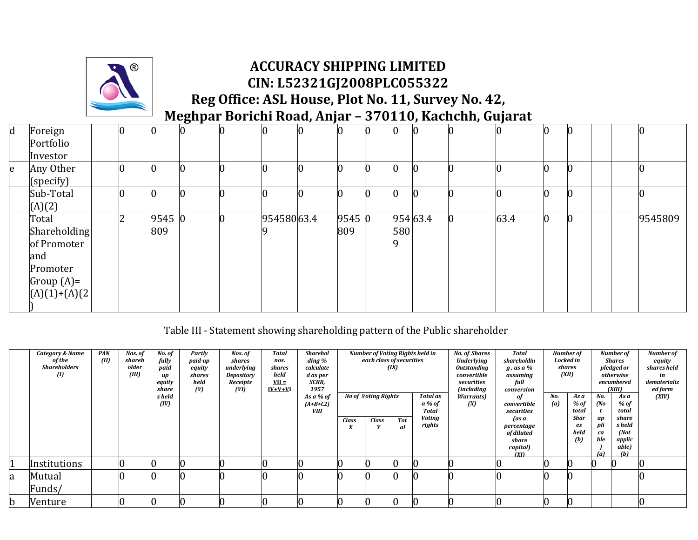

#### **ACCURACY SHIPPING LIMITED CIN: L52321GJ2008PLC055322 Reg Office: ASL House, Plot No. 11, Survey No. 42,**

**Meghpar Borichi Road, Anjar – 370110, Kachchh, Gujarat**

| $\mathbf d$ | Foreign         | 0 |        |   |            | 0 |        |     |          | $\Omega$ |      |   | 0                |         |
|-------------|-----------------|---|--------|---|------------|---|--------|-----|----------|----------|------|---|------------------|---------|
|             | Portfolio       |   |        |   |            |   |        |     |          |          |      |   |                  |         |
|             | Investor        |   |        |   |            |   |        |     |          |          |      |   |                  |         |
| e           | Any Other       |   |        |   |            |   |        |     |          |          |      |   | 0                |         |
|             | (specify)       |   |        |   |            |   |        |     |          |          |      |   |                  |         |
|             | Sub-Total       | 0 |        |   |            |   |        | C   |          |          |      | C | $\bf{0}$         |         |
|             | (A)(2)          |   |        |   |            |   |        |     |          |          |      |   |                  |         |
|             | Total           | າ | 9545 0 | 0 | 95458063.4 |   | 9545 0 |     | 954 63.4 |          | 63.4 | n | $\boldsymbol{0}$ | 9545809 |
|             | Shareholding    |   | 809    |   |            |   | 809    | 580 |          |          |      |   |                  |         |
|             | of Promoter     |   |        |   |            |   |        |     |          |          |      |   |                  |         |
|             | and             |   |        |   |            |   |        |     |          |          |      |   |                  |         |
|             | Promoter        |   |        |   |            |   |        |     |          |          |      |   |                  |         |
|             | Group $(A)=$    |   |        |   |            |   |        |     |          |          |      |   |                  |         |
|             | $(A)(1)+(A)(2)$ |   |        |   |            |   |        |     |          |          |      |   |                  |         |
|             |                 |   |        |   |            |   |        |     |          |          |      |   |                  |         |

Table III - Statement showing shareholding pattern of the Public shareholder

|             | Category & Name     | <b>PAN</b> | Nos. of | No. of | Partly  | Nos. of    | <b>Total</b> | <b>Sharehol</b> |                        | Number of Voting Rights held in |            |          | <b>No. of Shares</b> | <b>Total</b>     |     | Number of  |           | Number of       | Number of    |
|-------------|---------------------|------------|---------|--------|---------|------------|--------------|-----------------|------------------------|---------------------------------|------------|----------|----------------------|------------------|-----|------------|-----------|-----------------|--------------|
|             | of the              | (III)      | shareh  | fully  | paid-up | shares     | nos.         | ding %          |                        | each class of securities        |            |          | <b>Underlying</b>    | shareholdin      |     | Locked in  |           | Shares          | equity       |
|             | <b>Shareholders</b> |            | older   | paid   | equity  | underlying | shares       | calculate       |                        |                                 | (IX)       |          | <b>Outstanding</b>   | g, as a %        |     | shares     |           | pledged or      | shares held  |
|             | $\omega$            |            | (III)   | иp     | shares  | Depository | held         | d as per        |                        |                                 |            |          | convertible          | assuming         |     | (XII)      |           | otherwise       | in           |
|             |                     |            |         | equity | held    | Receipts   | $VII =$      | SCRR,           |                        |                                 |            |          | securities           | full             |     |            |           | encumbered      | dematerializ |
|             |                     |            |         | share  | (V)     | (VI)       | $IV+V+VI$    | 1957            |                        |                                 |            |          | <i>(including</i>    | conversion       |     |            |           | (XIII)          | ed form      |
|             |                     |            |         | s held |         |            |              | As a % of       |                        | <b>No of Voting Rights</b>      |            | Total as | <b>Warrants</b> )    | of               | No. | As a       | No.       | As a            | (XIV)        |
|             |                     |            |         | (IV)   |         |            |              | $(A+B+C2)$      |                        |                                 |            | a % of   | (X)                  | convertible      | (a) | % of       | (No       | % of            |              |
|             |                     |            |         |        |         |            |              | VIII            |                        |                                 |            | Total    |                      | securities       |     | total      |           | total           |              |
|             |                     |            |         |        |         |            |              |                 | <b>Class</b>           | <b>Class</b>                    | <b>Tot</b> | Voting   |                      | (as a            |     | Shar       | ap        | share<br>s held |              |
|             |                     |            |         |        |         |            |              |                 | $\boldsymbol{\lambda}$ |                                 | al         | rights   |                      | percentage       |     | es<br>held | pli       | (Mot            |              |
|             |                     |            |         |        |         |            |              |                 |                        |                                 |            |          |                      | of diluted       |     | (b)        | ca<br>ble |                 |              |
|             |                     |            |         |        |         |            |              |                 |                        |                                 |            |          |                      | share            |     |            |           | applic<br>able) |              |
|             |                     |            |         |        |         |            |              |                 |                        |                                 |            |          |                      | capital)<br>(XI) |     |            | (a)       | (h)             |              |
|             | Institutions        |            |         |        |         |            |              |                 |                        |                                 |            |          |                      |                  |     |            |           |                 |              |
| a           | Mutual              |            |         |        |         |            |              |                 |                        |                                 |            |          |                      |                  |     |            |           |                 |              |
|             | Funds/              |            |         |        |         |            |              |                 |                        |                                 |            |          |                      |                  |     |            |           |                 |              |
| $\mathbf b$ | Venture             |            |         |        |         |            |              |                 |                        |                                 |            |          |                      |                  |     |            |           |                 |              |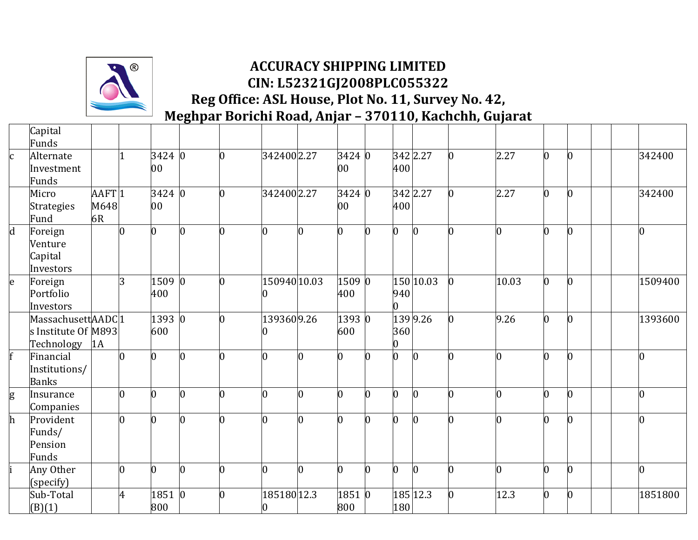

|              | Capital             |                   |                |                |                |                |                |          |                |   |     |           |                |       |          |                |         |
|--------------|---------------------|-------------------|----------------|----------------|----------------|----------------|----------------|----------|----------------|---|-----|-----------|----------------|-------|----------|----------------|---------|
|              | Funds               |                   |                |                |                |                |                |          |                |   |     |           |                |       |          |                |         |
| <sub>c</sub> | Alternate           |                   |                | 3424 0         |                | 0              | 3424002.27     |          | 3424 0         |   |     | 342 2.27  |                | 2.27  | $\Omega$ | $\overline{0}$ | 342400  |
|              | Investment          |                   |                | 00             |                |                |                |          | 00             |   | 400 |           |                |       |          |                |         |
|              | Funds               |                   |                |                |                |                |                |          |                |   |     |           |                |       |          |                |         |
|              | Micro               | AAFT <sub>1</sub> |                | $3424$ 0       |                | $\overline{0}$ | 3424002.27     |          | 3424 0         |   |     | 342 2.27  | O.             | 2.27  | $\Omega$ | $\overline{0}$ | 342400  |
|              | <b>Strategies</b>   | M648              |                | 00             |                |                |                |          | 00             |   | 400 |           |                |       |          |                |         |
|              | Fund                | 6R                |                |                |                |                |                |          |                |   |     |           |                |       |          |                |         |
| $\mathbf d$  | Foreign             |                   |                | 0              | Ю              | 0              | 0              | n        | 0              |   |     |           |                | U     |          | 0              |         |
|              | Venture             |                   |                |                |                |                |                |          |                |   |     |           |                |       |          |                |         |
|              | Capital             |                   |                |                |                |                |                |          |                |   |     |           |                |       |          |                |         |
|              | Investors           |                   |                |                |                |                |                |          |                |   |     |           |                |       |          |                |         |
| e            | Foreign             |                   | 3              | 1509 0         |                | $\overline{0}$ | 150940 10.03   |          | 1509 0         |   |     | 150 10.03 | $\overline{0}$ | 10.03 | n        | $\overline{0}$ | 1509400 |
|              | Portfolio           |                   |                | 400            |                |                |                |          | 400            |   | 940 |           |                |       |          |                |         |
|              | Investors           |                   |                |                |                |                |                |          |                |   |     |           |                |       |          |                |         |
|              | MassachusettAADC1   |                   |                | 1393 0         |                | O.             | 1393609.26     |          | 1393 0         |   |     | 139 9.26  |                | 9.26  |          | 0              | 1393600 |
|              | s Institute Of M893 |                   |                | 600            |                |                |                |          | 600            |   | 360 |           |                |       |          |                |         |
|              | Technology          | 1A                |                |                |                |                |                |          |                |   |     |           |                |       |          |                |         |
|              | Financial           |                   | 0              | $\overline{0}$ | n              | n              | $\overline{0}$ | $\Omega$ | $\overline{0}$ |   |     | n         |                | O     | n        | $\overline{0}$ |         |
|              | Institutions/       |                   |                |                |                |                |                |          |                |   |     |           |                |       |          |                |         |
|              | <b>Banks</b>        |                   |                |                |                |                |                |          |                |   |     |           |                |       |          |                |         |
| g            | Insurance           |                   | O              | 0              | $\overline{0}$ | n              | 0              | n        | $\bf{0}$       |   |     |           |                |       |          | $\overline{0}$ |         |
|              | Companies           |                   |                |                |                |                |                |          |                |   |     |           |                |       |          |                |         |
| $\mathbf{h}$ | Provident           |                   | U              | $\Omega$       | n              |                | <sup>0</sup>   | O.       | O.             |   |     |           |                |       |          | $\overline{0}$ |         |
|              | Funds/              |                   |                |                |                |                |                |          |                |   |     |           |                |       |          |                |         |
|              | Pension             |                   |                |                |                |                |                |          |                |   |     |           |                |       |          |                |         |
|              | Funds               |                   |                |                |                |                |                |          |                |   |     |           |                |       |          |                |         |
|              | Any Other           |                   | $\overline{0}$ | $\overline{0}$ | $\overline{0}$ | l0             | $\overline{0}$ | $\Omega$ | $\overline{0}$ | n | n   | $\Omega$  | 0              | 0     | $\Omega$ | $\overline{0}$ | n       |
|              | (specify)           |                   |                |                |                |                |                |          |                |   |     |           |                |       |          |                |         |
|              | Sub-Total           |                   | 4              | 1851 0         |                | 0              | 185180 12.3    |          | 1851 0         |   |     | 185 12.3  |                | 12.3  |          | $\bf{0}$       | 1851800 |
|              | (B)(1)              |                   |                | 800            |                |                | 0              |          | 800            |   | 180 |           |                |       |          |                |         |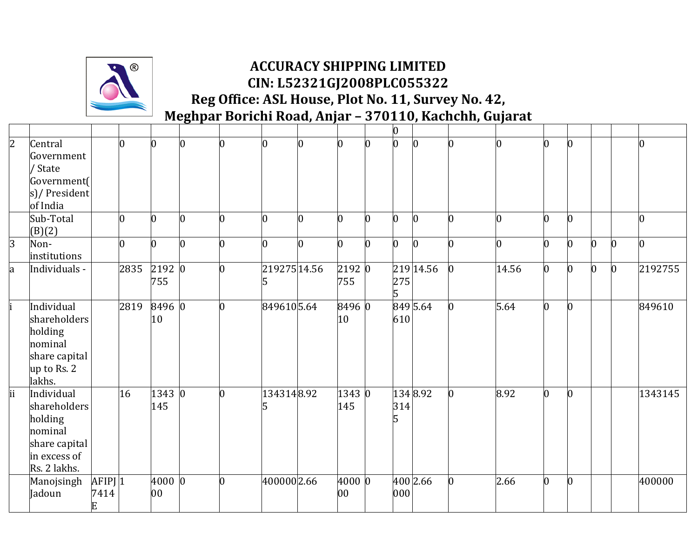

|                |                                                                                                   |                        |      |               |                |                |                   |                |                           |   | l0  |           |          |                |          |                |                |                |                |
|----------------|---------------------------------------------------------------------------------------------------|------------------------|------|---------------|----------------|----------------|-------------------|----------------|---------------------------|---|-----|-----------|----------|----------------|----------|----------------|----------------|----------------|----------------|
| $\overline{2}$ | Central<br>Government<br>/ State                                                                  |                        | n    | n.            | $\overline{0}$ | n              | $\overline{0}$    | $\overline{0}$ | $\overline{0}$            | n | l0  | IO.       | n        | O.             | n        | $\overline{0}$ |                |                | O.             |
|                | Government(<br>s)/ President<br>of India                                                          |                        |      |               |                |                |                   |                |                           |   |     |           |          |                |          |                |                |                |                |
|                | Sub-Total<br>(B)(2)                                                                               |                        |      |               | $\overline{0}$ |                | 0                 | $\bf{0}$       | $\bf{0}$                  |   | U   | $\bf{0}$  | 0        | 0              |          | $\bf{0}$       |                |                | 0              |
| $\overline{3}$ | Non-<br>institutions                                                                              |                        | n    | n.            | $\overline{0}$ | 0              | $\overline{0}$    | $\Omega$       | $\overline{0}$            | 0 | n   | $\bf{0}$  | n        | $\overline{0}$ | n        | $\bf{0}$       | $\overline{0}$ | $\bf{0}$       | $\overline{0}$ |
| a              | Individuals -                                                                                     |                        | 2835 | 2192 0<br>755 |                | $\overline{0}$ | 21927514.56<br>15 |                | 2192 0<br>755             |   | 275 | 219 14.56 | $\bf{0}$ | 14.56          | $\Omega$ | $\bf{0}$       | $\overline{0}$ | $\overline{0}$ | 2192755        |
|                | Individual<br>shareholders<br>holding<br>nominal<br>share capital<br>up to Rs. 2<br>lakhs.        |                        | 2819 | 8496 0<br>10  |                | U              | 8496105.64        |                | 8496 0<br>10 <sup>°</sup> |   | 610 | 849 5.64  | $\bf{0}$ | 5.64           | n        | $\overline{0}$ |                |                | 849610         |
| ii             | Individual<br>shareholders<br>holding<br>nominal<br>share capital<br>in excess of<br>Rs. 2 lakhs. |                        | 16   | 1343 0<br>145 |                | $\overline{0}$ | 1343148.92        |                | 1343 0<br>145             |   | 314 | 1348.92   | $\bf{0}$ | 8.92           | O.       | $\bf{0}$       |                |                | 1343145        |
|                | Manojsingh<br>Jadoun                                                                              | $AFIPJ$ 1<br>7414<br>E |      | 4000 0<br>00  |                | n              | 4000002.66        |                | 4000 0<br>00              |   | 000 | 400 2.66  | $\Omega$ | 2.66           | n        | $\bf{0}$       |                |                | 400000         |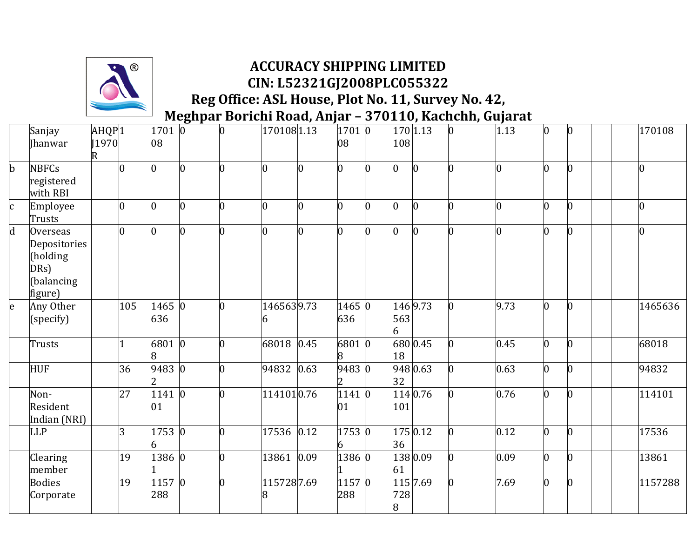

|             | Sanjay<br><b>Ihanwar</b>                                                     | AHQP <sub>1</sub><br>[1970]<br>R |                | $1701$ 0<br>08        | $\mathbf o$    | $\overline{0}$ | 1701081.13     |                | 17010<br>08   |   | 108      | 170 1.13   | $\overline{0}$ | 1.13 | $\vert 0 \vert$ | $\overline{0}$ | 170108  |
|-------------|------------------------------------------------------------------------------|----------------------------------|----------------|-----------------------|----------------|----------------|----------------|----------------|---------------|---|----------|------------|----------------|------|-----------------|----------------|---------|
| $\mathbf b$ | <b>NBFCs</b><br>registered<br>with RBI                                       |                                  | l0             | 0                     | $\overline{0}$ | 0              | $\overline{0}$ | $\overline{0}$ | $\bf{0}$      | n |          | $\Omega$   |                | 0    | 0               | 0              |         |
| c           | Employee<br>Trusts                                                           |                                  | $\overline{0}$ | 0                     | $\overline{0}$ | $\overline{0}$ | 0              | 0              | 0             |   |          |            |                | 0    |                 | $\bf{0}$       |         |
| $\mathbf d$ | <b>Overseas</b><br>Depositories<br>(holding<br>DRs)<br>(balancing<br>figure) |                                  | $\Omega$       | O.                    | $\Omega$       | l0             | $\overline{0}$ | $\Omega$       | b             | U |          | n          | 0              | n    | n               | $\overline{0}$ |         |
| e           | Any Other<br>(specify)                                                       |                                  | 105            | 1465 0<br>636         |                | l0             | 1465639.73     |                | 1465 0<br>636 |   | 563      | 146 9.73   |                | 9.73 | b               | $\overline{0}$ | 1465636 |
|             | Trusts                                                                       |                                  |                | 6801 0<br>8           |                | n              | 68018 0.45     |                | 68010<br>8    |   | 18       | 680 0.45   |                | 0.45 | 0               | $\overline{0}$ | 68018   |
|             | <b>HUF</b>                                                                   |                                  | 36             | 9483 0                |                | $\overline{0}$ | 94832 0.63     |                | 9483 0        |   | 32       | 948 0.63   |                | 0.63 | 0               | $\overline{0}$ | 94832   |
|             | Non-<br>Resident<br>Indian (NRI)                                             |                                  | 27             | $\sqrt{1141}$ 0<br>01 |                | 0              | 1141010.76     |                | 1141 0<br>01  |   | 101      | 114 0.76   |                | 0.76 | 0               | $\overline{0}$ | 114101  |
|             | <b>LLP</b>                                                                   |                                  | 3              | 1753 0<br>6           |                | $\overline{0}$ | 17536 0.12     |                | 1753 0        |   | 36       | 175 0.12   |                | 0.12 | 0               | $\overline{0}$ | 17536   |
|             | Clearing<br>member                                                           |                                  | 19             | 1386 0                |                | $\overline{0}$ | 13861 0.09     |                | 1386 0        |   | 61       | 138 0.09   |                | 0.09 | $\vert 0 \vert$ | $\overline{0}$ | 13861   |
|             | <b>Bodies</b><br>Corporate                                                   |                                  | 19             | $1157$ 0<br>288       |                | $\overline{0}$ | 1157287.69     |                | 11570<br>288  |   | 728<br>8 | 115   7.69 | 0              | 7.69 | $\Omega$        | $\overline{0}$ | 1157288 |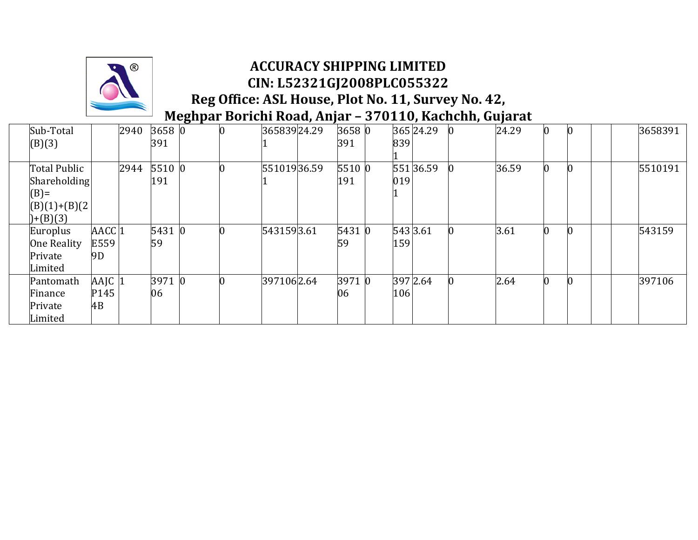

| Sub-Total          |                   | 2940 | 3658 0 |          | 36583924.29 | 3658 0 |          | 365 24.29 | 24.29 | Ю               | 3658391 |
|--------------------|-------------------|------|--------|----------|-------------|--------|----------|-----------|-------|-----------------|---------|
| (B)(3)             |                   |      | 391    |          |             | 391    | 839      |           |       |                 |         |
|                    |                   |      |        |          |             |        |          |           |       |                 |         |
| Total Public       |                   | 2944 | 5510 0 |          | 55101936.59 | 55100  |          | 551 36.59 | 36.59 | $\vert 0 \vert$ | 5510191 |
| Shareholding       |                   |      | 191    |          |             | 191    | 019      |           |       |                 |         |
| $(B)$ =            |                   |      |        |          |             |        |          |           |       |                 |         |
| $(B)(1)+(B)(2)$    |                   |      |        |          |             |        |          |           |       |                 |         |
| $(+ (B)(3)$        |                   |      |        |          |             |        |          |           |       |                 |         |
| Europlus           | AACC <sub>1</sub> |      | 5431 0 |          | 5431593.61  | 5431 0 | 543 3.61 |           | 3.61  | Ю               | 543159  |
| <b>One Reality</b> | E559              |      | 59     |          |             | 59     | 159      |           |       |                 |         |
| Private            | 9D                |      |        |          |             |        |          |           |       |                 |         |
| Limited            |                   |      |        |          |             |        |          |           |       |                 |         |
| Pantomath          | AAJC 1            |      | 3971 0 | $\Omega$ | 3971062.64  | 39710  | 397 2.64 |           | 2.64  | $\vert 0 \vert$ | 397106  |
| Finance            | P145              |      | 06     |          |             | 06     | 106      |           |       |                 |         |
| Private            | 4B                |      |        |          |             |        |          |           |       |                 |         |
| Limited            |                   |      |        |          |             |        |          |           |       |                 |         |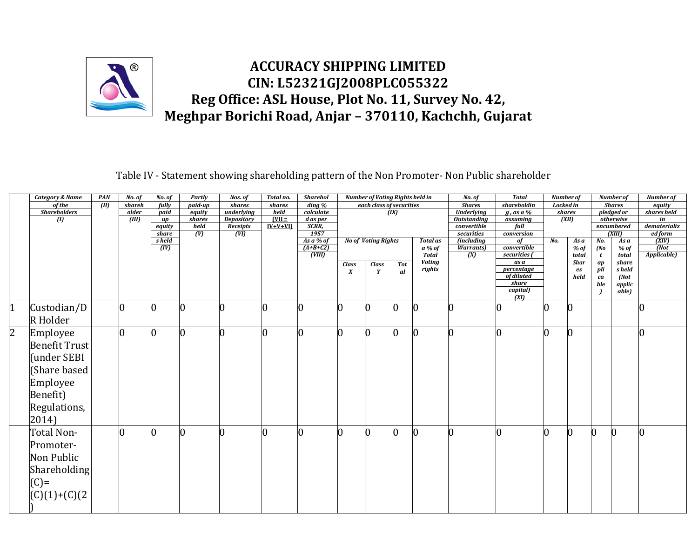

Table IV - Statement showing shareholding pattern of the Non Promoter- Non Public shareholder

| <b>Shares</b><br>of the<br>$\overline{(\mathbf{m})}$<br>$\frac{d\ln q}{d}$<br>each class of securities<br>shareholdin<br><b>Locked</b> in<br><b>Shares</b><br>shareh<br>fully<br>$p$ aid-up<br>shares<br>shares<br><b>Shareholders</b><br>(IX)<br><b>Underlying</b><br>pledged or<br>$p$ aid<br>underlying<br>held<br>calculate<br>$g$ , as a %<br>shares<br>older<br>equity<br>$[VII =$<br><b>Outstanding</b><br>(XII)<br>otherwise<br>(III)<br>shares<br>Depository<br>d as per<br>assuming<br>$\left( 0\right)$<br>up<br>$IV+V+V1$<br>SCRR,<br>held<br>Receipts<br>convertible<br>full<br>encumbered<br>equity<br>1957<br>$\overline{(\mathbf{V})}$<br>(VI)<br>(XIII)<br>securities<br>share<br>conversion<br>As a % of<br><b>No of Voting Rights</b><br>s held<br><i>(including</i><br>No.<br>No.<br><b>Total as</b><br>of<br>As a<br>As a<br>$(A+B+C2)$<br>$\overline{(IV)}$<br>convertible<br>(No<br>a % of<br><b>Warrants</b> )<br>$%$ of<br>$%$ of<br>(VIII)<br><b>Total</b><br>$\overline{(X)}$<br>securities (<br>total<br>total<br>t<br><b>Voting</b><br>as a<br><b>Shar</b><br>share<br>$\emph{ap}$<br><b>Class</b><br>Tot<br><b>Class</b><br>rights<br>pli<br>s held<br>percentage<br>es<br>$\boldsymbol{X}$<br>Y<br>al<br>of diluted<br>(Not<br>held<br>ca<br>share<br>ble<br>$\emph{applic}$<br>capital)<br>able)<br>$\overline{(\overline{X}}$<br>$\vert$ 1<br>Custodian/D<br>0<br>$\bf{0}$<br>0<br>0<br>0<br>$\bf{0}$<br>0<br>Ю<br>Ю<br>R Holder | Number of               |
|-------------------------------------------------------------------------------------------------------------------------------------------------------------------------------------------------------------------------------------------------------------------------------------------------------------------------------------------------------------------------------------------------------------------------------------------------------------------------------------------------------------------------------------------------------------------------------------------------------------------------------------------------------------------------------------------------------------------------------------------------------------------------------------------------------------------------------------------------------------------------------------------------------------------------------------------------------------------------------------------------------------------------------------------------------------------------------------------------------------------------------------------------------------------------------------------------------------------------------------------------------------------------------------------------------------------------------------------------------------------------------------------------------------------------------------------------------------------|-------------------------|
|                                                                                                                                                                                                                                                                                                                                                                                                                                                                                                                                                                                                                                                                                                                                                                                                                                                                                                                                                                                                                                                                                                                                                                                                                                                                                                                                                                                                                                                                   | equity                  |
|                                                                                                                                                                                                                                                                                                                                                                                                                                                                                                                                                                                                                                                                                                                                                                                                                                                                                                                                                                                                                                                                                                                                                                                                                                                                                                                                                                                                                                                                   | shares held             |
|                                                                                                                                                                                                                                                                                                                                                                                                                                                                                                                                                                                                                                                                                                                                                                                                                                                                                                                                                                                                                                                                                                                                                                                                                                                                                                                                                                                                                                                                   | in                      |
|                                                                                                                                                                                                                                                                                                                                                                                                                                                                                                                                                                                                                                                                                                                                                                                                                                                                                                                                                                                                                                                                                                                                                                                                                                                                                                                                                                                                                                                                   | dematerializ<br>ed form |
|                                                                                                                                                                                                                                                                                                                                                                                                                                                                                                                                                                                                                                                                                                                                                                                                                                                                                                                                                                                                                                                                                                                                                                                                                                                                                                                                                                                                                                                                   | (XIV)                   |
|                                                                                                                                                                                                                                                                                                                                                                                                                                                                                                                                                                                                                                                                                                                                                                                                                                                                                                                                                                                                                                                                                                                                                                                                                                                                                                                                                                                                                                                                   | $\overline{(Not)}$      |
|                                                                                                                                                                                                                                                                                                                                                                                                                                                                                                                                                                                                                                                                                                                                                                                                                                                                                                                                                                                                                                                                                                                                                                                                                                                                                                                                                                                                                                                                   | Applicable)             |
|                                                                                                                                                                                                                                                                                                                                                                                                                                                                                                                                                                                                                                                                                                                                                                                                                                                                                                                                                                                                                                                                                                                                                                                                                                                                                                                                                                                                                                                                   |                         |
|                                                                                                                                                                                                                                                                                                                                                                                                                                                                                                                                                                                                                                                                                                                                                                                                                                                                                                                                                                                                                                                                                                                                                                                                                                                                                                                                                                                                                                                                   |                         |
|                                                                                                                                                                                                                                                                                                                                                                                                                                                                                                                                                                                                                                                                                                                                                                                                                                                                                                                                                                                                                                                                                                                                                                                                                                                                                                                                                                                                                                                                   |                         |
|                                                                                                                                                                                                                                                                                                                                                                                                                                                                                                                                                                                                                                                                                                                                                                                                                                                                                                                                                                                                                                                                                                                                                                                                                                                                                                                                                                                                                                                                   |                         |
|                                                                                                                                                                                                                                                                                                                                                                                                                                                                                                                                                                                                                                                                                                                                                                                                                                                                                                                                                                                                                                                                                                                                                                                                                                                                                                                                                                                                                                                                   |                         |
|                                                                                                                                                                                                                                                                                                                                                                                                                                                                                                                                                                                                                                                                                                                                                                                                                                                                                                                                                                                                                                                                                                                                                                                                                                                                                                                                                                                                                                                                   | 0                       |
|                                                                                                                                                                                                                                                                                                                                                                                                                                                                                                                                                                                                                                                                                                                                                                                                                                                                                                                                                                                                                                                                                                                                                                                                                                                                                                                                                                                                                                                                   |                         |
| $\overline{2}$<br>n<br>l0<br>Employee<br><sup>0</sup><br>$\vert 0 \vert$<br>IN<br>n<br>0<br>n<br>Ю                                                                                                                                                                                                                                                                                                                                                                                                                                                                                                                                                                                                                                                                                                                                                                                                                                                                                                                                                                                                                                                                                                                                                                                                                                                                                                                                                                | O                       |
| <b>Benefit Trust</b>                                                                                                                                                                                                                                                                                                                                                                                                                                                                                                                                                                                                                                                                                                                                                                                                                                                                                                                                                                                                                                                                                                                                                                                                                                                                                                                                                                                                                                              |                         |
| (under SEBI                                                                                                                                                                                                                                                                                                                                                                                                                                                                                                                                                                                                                                                                                                                                                                                                                                                                                                                                                                                                                                                                                                                                                                                                                                                                                                                                                                                                                                                       |                         |
| (Share based                                                                                                                                                                                                                                                                                                                                                                                                                                                                                                                                                                                                                                                                                                                                                                                                                                                                                                                                                                                                                                                                                                                                                                                                                                                                                                                                                                                                                                                      |                         |
| Employee                                                                                                                                                                                                                                                                                                                                                                                                                                                                                                                                                                                                                                                                                                                                                                                                                                                                                                                                                                                                                                                                                                                                                                                                                                                                                                                                                                                                                                                          |                         |
| Benefit)                                                                                                                                                                                                                                                                                                                                                                                                                                                                                                                                                                                                                                                                                                                                                                                                                                                                                                                                                                                                                                                                                                                                                                                                                                                                                                                                                                                                                                                          |                         |
|                                                                                                                                                                                                                                                                                                                                                                                                                                                                                                                                                                                                                                                                                                                                                                                                                                                                                                                                                                                                                                                                                                                                                                                                                                                                                                                                                                                                                                                                   |                         |
| Regulations,                                                                                                                                                                                                                                                                                                                                                                                                                                                                                                                                                                                                                                                                                                                                                                                                                                                                                                                                                                                                                                                                                                                                                                                                                                                                                                                                                                                                                                                      |                         |
| 2014)                                                                                                                                                                                                                                                                                                                                                                                                                                                                                                                                                                                                                                                                                                                                                                                                                                                                                                                                                                                                                                                                                                                                                                                                                                                                                                                                                                                                                                                             |                         |
| Total Non-<br>0<br>$\overline{0}$<br>0<br>0<br>0<br>0<br>$\bf{0}$<br>0<br>$\bf{0}$<br>10                                                                                                                                                                                                                                                                                                                                                                                                                                                                                                                                                                                                                                                                                                                                                                                                                                                                                                                                                                                                                                                                                                                                                                                                                                                                                                                                                                          | $\bf{0}$                |
| Promoter-                                                                                                                                                                                                                                                                                                                                                                                                                                                                                                                                                                                                                                                                                                                                                                                                                                                                                                                                                                                                                                                                                                                                                                                                                                                                                                                                                                                                                                                         |                         |
| Non Public                                                                                                                                                                                                                                                                                                                                                                                                                                                                                                                                                                                                                                                                                                                                                                                                                                                                                                                                                                                                                                                                                                                                                                                                                                                                                                                                                                                                                                                        |                         |
| Shareholding                                                                                                                                                                                                                                                                                                                                                                                                                                                                                                                                                                                                                                                                                                                                                                                                                                                                                                                                                                                                                                                                                                                                                                                                                                                                                                                                                                                                                                                      |                         |
| $(C)=$                                                                                                                                                                                                                                                                                                                                                                                                                                                                                                                                                                                                                                                                                                                                                                                                                                                                                                                                                                                                                                                                                                                                                                                                                                                                                                                                                                                                                                                            |                         |
| $(C)(1)+(C)(2)$                                                                                                                                                                                                                                                                                                                                                                                                                                                                                                                                                                                                                                                                                                                                                                                                                                                                                                                                                                                                                                                                                                                                                                                                                                                                                                                                                                                                                                                   |                         |
|                                                                                                                                                                                                                                                                                                                                                                                                                                                                                                                                                                                                                                                                                                                                                                                                                                                                                                                                                                                                                                                                                                                                                                                                                                                                                                                                                                                                                                                                   |                         |